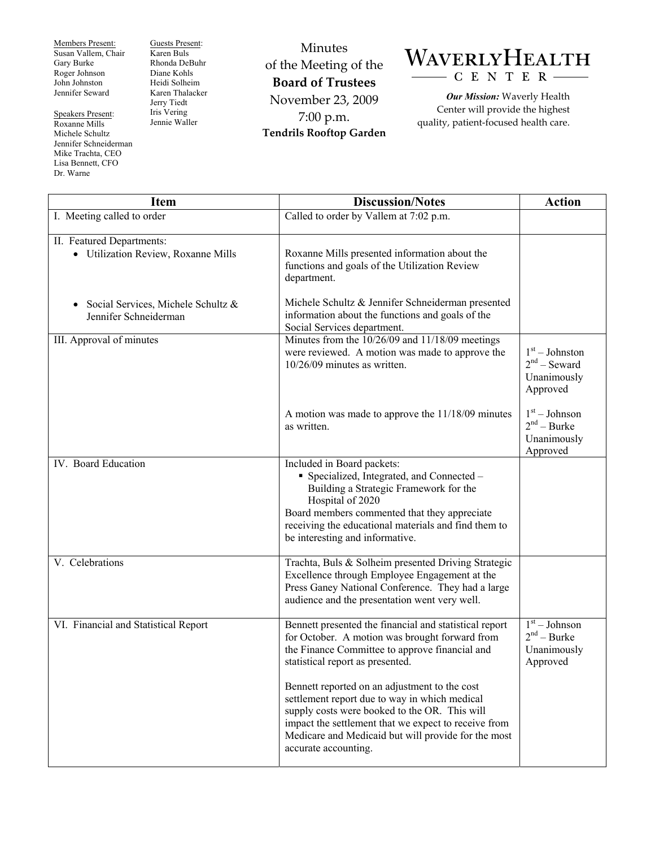Members Present: Susan Vallem, Chair Gary Burke Roger Johnson John Johnston Jennifer Seward

Speakers Present: Roxanne Mills Michele Schultz Jennifer Schneiderman Mike Trachta, CEO Lisa Bennett, CFO Dr. Warne

Guests Present: Karen Buls Rhonda DeBuhr Diane Kohls Heidi Solheim Karen Thalacker Jerry Tiedt Iris Vering Jennie Waller

Minutes of the Meeting of the **Board of Trustees**  November 23, 2009 7:00 p.m. **Tendrils Rooftop Garden** 

## WAVERLYHEALTH CENTER

*Our Mission:* Waverly Health Center will provide the highest quality, patient-focused health care.

| <b>Item</b>                                                      | <b>Discussion/Notes</b>                                                                                                                                                                                                                                                                | <b>Action</b>                                                 |
|------------------------------------------------------------------|----------------------------------------------------------------------------------------------------------------------------------------------------------------------------------------------------------------------------------------------------------------------------------------|---------------------------------------------------------------|
| I. Meeting called to order                                       | Called to order by Vallem at 7:02 p.m.                                                                                                                                                                                                                                                 |                                                               |
| II. Featured Departments:<br>· Utilization Review, Roxanne Mills | Roxanne Mills presented information about the<br>functions and goals of the Utilization Review<br>department.                                                                                                                                                                          |                                                               |
| Social Services, Michele Schultz &<br>٠<br>Jennifer Schneiderman | Michele Schultz & Jennifer Schneiderman presented<br>information about the functions and goals of the<br>Social Services department.                                                                                                                                                   |                                                               |
| III. Approval of minutes                                         | Minutes from the $10/26/09$ and $11/18/09$ meetings<br>were reviewed. A motion was made to approve the<br>$10/26/09$ minutes as written.                                                                                                                                               | $1st - Johnston$<br>$2nd$ – Seward<br>Unanimously<br>Approved |
|                                                                  | A motion was made to approve the 11/18/09 minutes<br>as written.                                                                                                                                                                                                                       | $1st - Johnson$<br>$2nd - Burke$<br>Unanimously<br>Approved   |
| IV. Board Education                                              | Included in Board packets:<br>• Specialized, Integrated, and Connected -<br>Building a Strategic Framework for the<br>Hospital of 2020<br>Board members commented that they appreciate<br>receiving the educational materials and find them to<br>be interesting and informative.      |                                                               |
| V. Celebrations                                                  | Trachta, Buls & Solheim presented Driving Strategic<br>Excellence through Employee Engagement at the<br>Press Ganey National Conference. They had a large<br>audience and the presentation went very well.                                                                             |                                                               |
| VI. Financial and Statistical Report                             | Bennett presented the financial and statistical report<br>for October. A motion was brought forward from<br>the Finance Committee to approve financial and<br>statistical report as presented.                                                                                         | $1st - Johnson$<br>$2nd - Burke$<br>Unanimously<br>Approved   |
|                                                                  | Bennett reported on an adjustment to the cost<br>settlement report due to way in which medical<br>supply costs were booked to the OR. This will<br>impact the settlement that we expect to receive from<br>Medicare and Medicaid but will provide for the most<br>accurate accounting. |                                                               |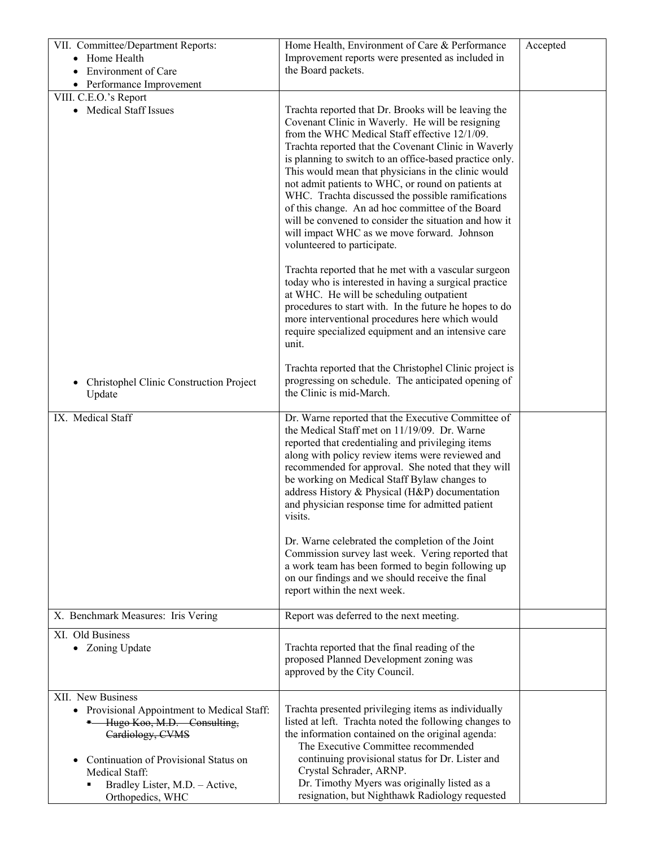| VII. Committee/Department Reports:<br>• Home Health<br><b>Environment of Care</b>                                                                                                                                                                | Home Health, Environment of Care & Performance<br>Improvement reports were presented as included in<br>the Board packets.                                                                                                                                                                                                                                                                                                                                                                                                                                                                                                                 | Accepted |
|--------------------------------------------------------------------------------------------------------------------------------------------------------------------------------------------------------------------------------------------------|-------------------------------------------------------------------------------------------------------------------------------------------------------------------------------------------------------------------------------------------------------------------------------------------------------------------------------------------------------------------------------------------------------------------------------------------------------------------------------------------------------------------------------------------------------------------------------------------------------------------------------------------|----------|
| • Performance Improvement                                                                                                                                                                                                                        |                                                                                                                                                                                                                                                                                                                                                                                                                                                                                                                                                                                                                                           |          |
| VIII. C.E.O.'s Report                                                                                                                                                                                                                            |                                                                                                                                                                                                                                                                                                                                                                                                                                                                                                                                                                                                                                           |          |
| • Medical Staff Issues                                                                                                                                                                                                                           | Trachta reported that Dr. Brooks will be leaving the<br>Covenant Clinic in Waverly. He will be resigning<br>from the WHC Medical Staff effective 12/1/09.<br>Trachta reported that the Covenant Clinic in Waverly<br>is planning to switch to an office-based practice only.<br>This would mean that physicians in the clinic would<br>not admit patients to WHC, or round on patients at<br>WHC. Trachta discussed the possible ramifications<br>of this change. An ad hoc committee of the Board<br>will be convened to consider the situation and how it<br>will impact WHC as we move forward. Johnson<br>volunteered to participate. |          |
|                                                                                                                                                                                                                                                  | Trachta reported that he met with a vascular surgeon<br>today who is interested in having a surgical practice<br>at WHC. He will be scheduling outpatient<br>procedures to start with. In the future he hopes to do<br>more interventional procedures here which would<br>require specialized equipment and an intensive care<br>unit.                                                                                                                                                                                                                                                                                                    |          |
| Christophel Clinic Construction Project<br>Update                                                                                                                                                                                                | Trachta reported that the Christophel Clinic project is<br>progressing on schedule. The anticipated opening of<br>the Clinic is mid-March.                                                                                                                                                                                                                                                                                                                                                                                                                                                                                                |          |
| IX. Medical Staff                                                                                                                                                                                                                                | Dr. Warne reported that the Executive Committee of<br>the Medical Staff met on 11/19/09. Dr. Warne<br>reported that credentialing and privileging items<br>along with policy review items were reviewed and<br>recommended for approval. She noted that they will<br>be working on Medical Staff Bylaw changes to<br>address History & Physical (H&P) documentation<br>and physician response time for admitted patient<br>visits.                                                                                                                                                                                                        |          |
|                                                                                                                                                                                                                                                  | Dr. Warne celebrated the completion of the Joint<br>Commission survey last week. Vering reported that<br>a work team has been formed to begin following up<br>on our findings and we should receive the final<br>report within the next week.                                                                                                                                                                                                                                                                                                                                                                                             |          |
| X. Benchmark Measures: Iris Vering                                                                                                                                                                                                               | Report was deferred to the next meeting.                                                                                                                                                                                                                                                                                                                                                                                                                                                                                                                                                                                                  |          |
| XI. Old Business<br>• Zoning Update                                                                                                                                                                                                              | Trachta reported that the final reading of the<br>proposed Planned Development zoning was<br>approved by the City Council.                                                                                                                                                                                                                                                                                                                                                                                                                                                                                                                |          |
| XII. New Business<br>• Provisional Appointment to Medical Staff:<br><sup>-</sup> Hugo Koo, M.D. Consulting,<br>Cardiology, CVMS<br>Continuation of Provisional Status on<br>Medical Staff:<br>Bradley Lister, M.D. - Active,<br>Orthopedics, WHC | Trachta presented privileging items as individually<br>listed at left. Trachta noted the following changes to<br>the information contained on the original agenda:<br>The Executive Committee recommended<br>continuing provisional status for Dr. Lister and<br>Crystal Schrader, ARNP.<br>Dr. Timothy Myers was originally listed as a<br>resignation, but Nighthawk Radiology requested                                                                                                                                                                                                                                                |          |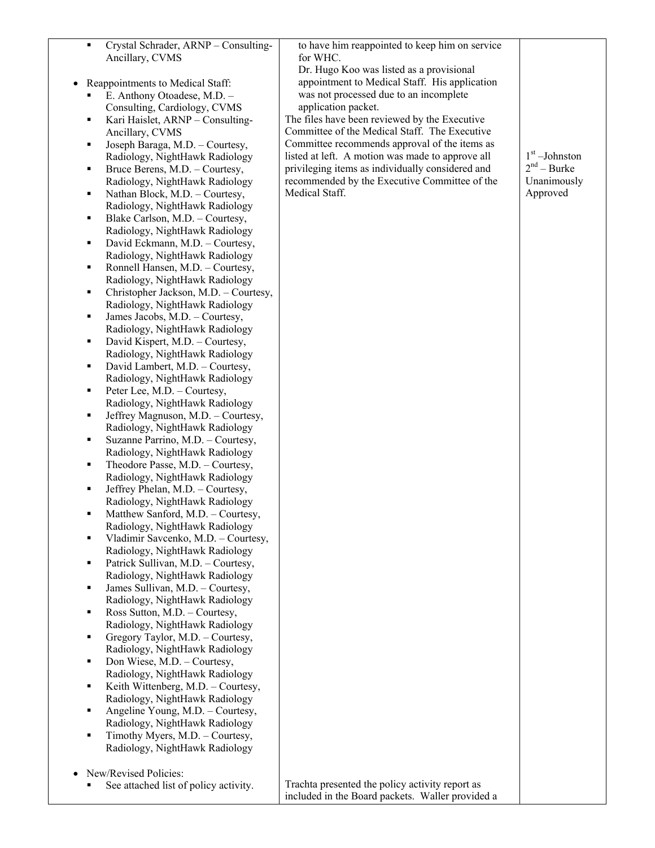| $\blacksquare$ | Crystal Schrader, ARNP - Consulting-<br>Ancillary, CVMS                 | to have him reappointed to keep him on service<br>for WHC. |                 |
|----------------|-------------------------------------------------------------------------|------------------------------------------------------------|-----------------|
|                |                                                                         | Dr. Hugo Koo was listed as a provisional                   |                 |
| $\bullet$      | Reappointments to Medical Staff:                                        | appointment to Medical Staff. His application              |                 |
| Ξ              | E. Anthony Otoadese, M.D. -                                             | was not processed due to an incomplete                     |                 |
|                | Consulting, Cardiology, CVMS                                            | application packet.                                        |                 |
| ٠              | Kari Haislet, ARNP - Consulting-                                        | The files have been reviewed by the Executive              |                 |
|                | Ancillary, CVMS                                                         | Committee of the Medical Staff. The Executive              |                 |
| п              | Joseph Baraga, M.D. - Courtesy,                                         | Committee recommends approval of the items as              |                 |
|                | Radiology, NightHawk Radiology                                          | listed at left. A motion was made to approve all           | $1st$ -Johnston |
| ٠              | Bruce Berens, M.D. - Courtesy,                                          | privileging items as individually considered and           | $2nd - Burke$   |
|                | Radiology, NightHawk Radiology                                          | recommended by the Executive Committee of the              | Unanimously     |
| п              | Nathan Block, M.D. - Courtesy,                                          | Medical Staff.                                             | Approved        |
|                | Radiology, NightHawk Radiology                                          |                                                            |                 |
| ٠              | Blake Carlson, M.D. - Courtesy,                                         |                                                            |                 |
|                | Radiology, NightHawk Radiology                                          |                                                            |                 |
| ٠              | David Eckmann, M.D. - Courtesy,                                         |                                                            |                 |
|                | Radiology, NightHawk Radiology                                          |                                                            |                 |
| п              | Ronnell Hansen, M.D. - Courtesy,                                        |                                                            |                 |
| п              | Radiology, NightHawk Radiology<br>Christopher Jackson, M.D. - Courtesy, |                                                            |                 |
|                | Radiology, NightHawk Radiology                                          |                                                            |                 |
| ٠              | James Jacobs, M.D. - Courtesy,                                          |                                                            |                 |
|                | Radiology, NightHawk Radiology                                          |                                                            |                 |
| п              | David Kispert, M.D. - Courtesy,                                         |                                                            |                 |
|                | Radiology, NightHawk Radiology                                          |                                                            |                 |
| ٠              | David Lambert, M.D. - Courtesy,                                         |                                                            |                 |
|                | Radiology, NightHawk Radiology                                          |                                                            |                 |
| ٠              | Peter Lee, M.D. - Courtesy,                                             |                                                            |                 |
|                | Radiology, NightHawk Radiology                                          |                                                            |                 |
| п              | Jeffrey Magnuson, M.D. - Courtesy,                                      |                                                            |                 |
|                | Radiology, NightHawk Radiology                                          |                                                            |                 |
| п              | Suzanne Parrino, M.D. - Courtesy,<br>Radiology, NightHawk Radiology     |                                                            |                 |
| ٠              | Theodore Passe, M.D. - Courtesy,                                        |                                                            |                 |
|                | Radiology, NightHawk Radiology                                          |                                                            |                 |
| ٠              | Jeffrey Phelan, M.D. - Courtesy,                                        |                                                            |                 |
|                | Radiology, NightHawk Radiology                                          |                                                            |                 |
|                | Matthew Sanford, M.D. - Courtesy.                                       |                                                            |                 |
|                | Radiology, NightHawk Radiology                                          |                                                            |                 |
| $\blacksquare$ | Vladimir Savcenko, M.D. - Courtesy,                                     |                                                            |                 |
|                | Radiology, NightHawk Radiology                                          |                                                            |                 |
| ٠              | Patrick Sullivan, M.D. - Courtesy,                                      |                                                            |                 |
|                | Radiology, NightHawk Radiology                                          |                                                            |                 |
| ٠              | James Sullivan, M.D. - Courtesy,                                        |                                                            |                 |
| ٠              | Radiology, NightHawk Radiology<br>Ross Sutton, M.D. - Courtesy,         |                                                            |                 |
|                | Radiology, NightHawk Radiology                                          |                                                            |                 |
| ٠              | Gregory Taylor, M.D. - Courtesy,                                        |                                                            |                 |
|                | Radiology, NightHawk Radiology                                          |                                                            |                 |
| ٠              | Don Wiese, M.D. - Courtesy,                                             |                                                            |                 |
|                | Radiology, NightHawk Radiology                                          |                                                            |                 |
| ٠              | Keith Wittenberg, M.D. - Courtesy,                                      |                                                            |                 |
|                | Radiology, NightHawk Radiology                                          |                                                            |                 |
| ٠              | Angeline Young, M.D. - Courtesy,                                        |                                                            |                 |
| ٠              | Radiology, NightHawk Radiology<br>Timothy Myers, M.D. - Courtesy,       |                                                            |                 |
|                | Radiology, NightHawk Radiology                                          |                                                            |                 |
|                |                                                                         |                                                            |                 |
|                | New/Revised Policies:                                                   |                                                            |                 |
|                | See attached list of policy activity.                                   | Trachta presented the policy activity report as            |                 |
|                |                                                                         | included in the Board packets. Waller provided a           |                 |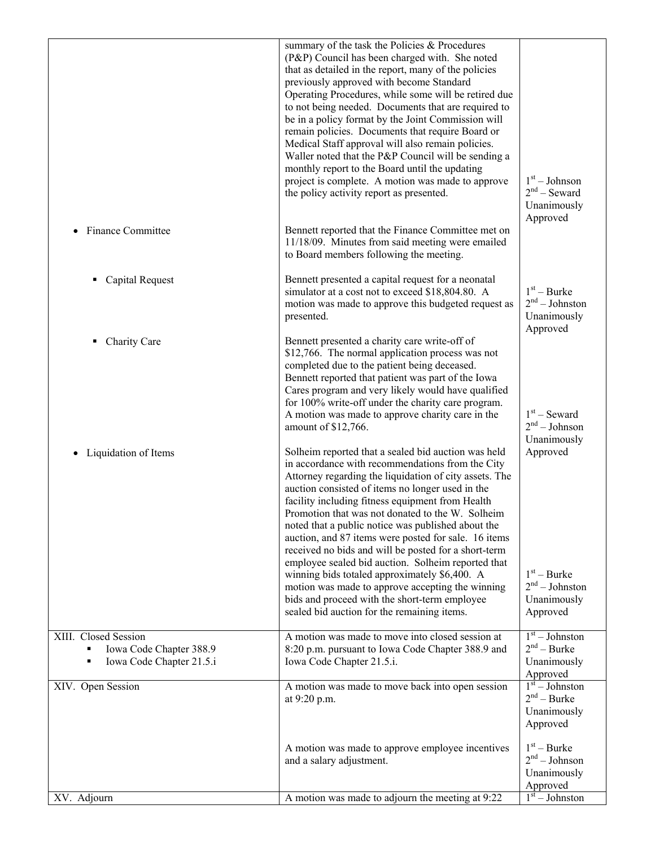|                                                                                  | summary of the task the Policies & Procedures<br>(P&P) Council has been charged with. She noted<br>that as detailed in the report, many of the policies<br>previously approved with become Standard<br>Operating Procedures, while some will be retired due<br>to not being needed. Documents that are required to<br>be in a policy format by the Joint Commission will<br>remain policies. Documents that require Board or<br>Medical Staff approval will also remain policies.<br>Waller noted that the P&P Council will be sending a<br>monthly report to the Board until the updating<br>project is complete. A motion was made to approve<br>the policy activity report as presented. | $1st - Johnson$<br>$2nd$ – Seward<br>Unanimously                                |
|----------------------------------------------------------------------------------|---------------------------------------------------------------------------------------------------------------------------------------------------------------------------------------------------------------------------------------------------------------------------------------------------------------------------------------------------------------------------------------------------------------------------------------------------------------------------------------------------------------------------------------------------------------------------------------------------------------------------------------------------------------------------------------------|---------------------------------------------------------------------------------|
| <b>Finance Committee</b>                                                         | Bennett reported that the Finance Committee met on<br>11/18/09. Minutes from said meeting were emailed<br>to Board members following the meeting.                                                                                                                                                                                                                                                                                                                                                                                                                                                                                                                                           | Approved                                                                        |
| <b>Capital Request</b>                                                           | Bennett presented a capital request for a neonatal<br>simulator at a cost not to exceed \$18,804.80. A<br>motion was made to approve this budgeted request as<br>presented.                                                                                                                                                                                                                                                                                                                                                                                                                                                                                                                 | $1st - Burke$<br>$2nd - Johnston$<br>Unanimously<br>Approved                    |
| Charity Care                                                                     | Bennett presented a charity care write-off of<br>\$12,766. The normal application process was not<br>completed due to the patient being deceased.<br>Bennett reported that patient was part of the Iowa<br>Cares program and very likely would have qualified<br>for 100% write-off under the charity care program.<br>A motion was made to approve charity care in the<br>amount of \$12,766.                                                                                                                                                                                                                                                                                              | $1st$ – Seward<br>$2nd - Johnson$                                               |
| Liquidation of Items<br>$\bullet$                                                | Solheim reported that a sealed bid auction was held<br>in accordance with recommendations from the City<br>Attorney regarding the liquidation of city assets. The<br>auction consisted of items no longer used in the<br>facility including fitness equipment from Health<br>Promotion that was not donated to the W. Solheim<br>noted that a public notice was published about the<br>auction, and 87 items were posted for sale. 16 items<br>received no bids and will be posted for a short-term<br>employee sealed bid auction. Solheim reported that<br>winning bids totaled approximately \$6,400. A                                                                                  | Unanimously<br>Approved<br>$1st - Burke$                                        |
|                                                                                  | motion was made to approve accepting the winning<br>bids and proceed with the short-term employee<br>sealed bid auction for the remaining items.                                                                                                                                                                                                                                                                                                                                                                                                                                                                                                                                            | $2nd - Johnston$<br>Unanimously<br>Approved                                     |
| XIII. Closed Session<br>Iowa Code Chapter 388.9<br>Iowa Code Chapter 21.5.i<br>٠ | A motion was made to move into closed session at<br>8:20 p.m. pursuant to Iowa Code Chapter 388.9 and<br>Iowa Code Chapter 21.5.i.                                                                                                                                                                                                                                                                                                                                                                                                                                                                                                                                                          | $1st - Johnston$<br>$2nd - Burke$<br>Unanimously<br>Approved                    |
| XIV. Open Session                                                                | A motion was made to move back into open session<br>at 9:20 p.m.                                                                                                                                                                                                                                                                                                                                                                                                                                                                                                                                                                                                                            | $1st - Johnston$<br>$2nd - Burke$<br>Unanimously<br>Approved                    |
| XV. Adjourn                                                                      | A motion was made to approve employee incentives<br>and a salary adjustment.<br>A motion was made to adjourn the meeting at 9:22                                                                                                                                                                                                                                                                                                                                                                                                                                                                                                                                                            | $1st - Burke$<br>$2nd - Johnson$<br>Unanimously<br>Approved<br>$1st - Johnston$ |
|                                                                                  |                                                                                                                                                                                                                                                                                                                                                                                                                                                                                                                                                                                                                                                                                             |                                                                                 |